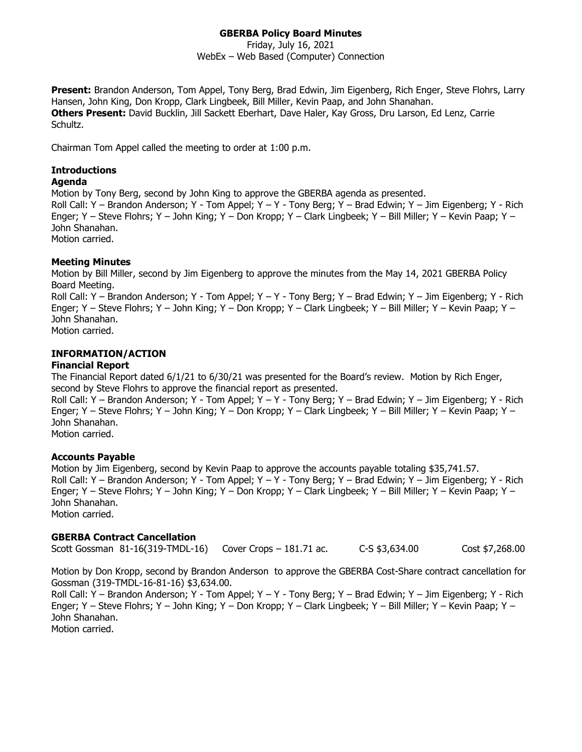#### **GBERBA Policy Board Minutes**

Friday, July 16, 2021 WebEx – Web Based (Computer) Connection

**Present:** Brandon Anderson, Tom Appel, Tony Berg, Brad Edwin, Jim Eigenberg, Rich Enger, Steve Flohrs, Larry Hansen, John King, Don Kropp, Clark Lingbeek, Bill Miller, Kevin Paap, and John Shanahan. **Others Present:** David Bucklin, Jill Sackett Eberhart, Dave Haler, Kay Gross, Dru Larson, Ed Lenz, Carrie Schultz.

Chairman Tom Appel called the meeting to order at 1:00 p.m.

# **Introductions**

### **Agenda**

Motion by Tony Berg, second by John King to approve the GBERBA agenda as presented. Roll Call: Y – Brandon Anderson; Y - Tom Appel; Y – Y - Tony Berg; Y – Brad Edwin; Y – Jim Eigenberg; Y - Rich Enger; Y – Steve Flohrs; Y – John King; Y – Don Kropp; Y – Clark Lingbeek; Y – Bill Miller; Y – Kevin Paap; Y – John Shanahan. Motion carried.

#### **Meeting Minutes**

Motion by Bill Miller, second by Jim Eigenberg to approve the minutes from the May 14, 2021 GBERBA Policy Board Meeting.

Roll Call: Y – Brandon Anderson; Y - Tom Appel; Y – Y - Tony Berg; Y – Brad Edwin; Y – Jim Eigenberg; Y - Rich Enger; Y – Steve Flohrs; Y – John King; Y – Don Kropp; Y – Clark Lingbeek; Y – Bill Miller; Y – Kevin Paap; Y – John Shanahan.

Motion carried.

#### **INFORMATION/ACTION**

#### **Financial Report**

The Financial Report dated 6/1/21 to 6/30/21 was presented for the Board's review. Motion by Rich Enger, second by Steve Flohrs to approve the financial report as presented. Roll Call: Y – Brandon Anderson; Y - Tom Appel; Y – Y - Tony Berg; Y – Brad Edwin; Y – Jim Eigenberg; Y - Rich Enger; Y – Steve Flohrs; Y – John King; Y – Don Kropp; Y – Clark Lingbeek; Y – Bill Miller; Y – Kevin Paap; Y –

John Shanahan.

Motion carried.

#### **Accounts Payable**

Motion by Jim Eigenberg, second by Kevin Paap to approve the accounts payable totaling \$35,741.57. Roll Call: Y – Brandon Anderson; Y - Tom Appel; Y – Y - Tony Berg; Y – Brad Edwin; Y – Jim Eigenberg; Y - Rich Enger; Y – Steve Flohrs; Y – John King; Y – Don Kropp; Y – Clark Lingbeek; Y – Bill Miller; Y – Kevin Paap; Y – John Shanahan. Motion carried.

#### **GBERBA Contract Cancellation**

Scott Gossman 81-16(319-TMDL-16) Cover Crops – 181.71 ac. C-S \$3,634.00 Cost \$7,268.00

Motion by Don Kropp, second by Brandon Anderson to approve the GBERBA Cost-Share contract cancellation for Gossman (319-TMDL-16-81-16) \$3,634.00.

Roll Call: Y – Brandon Anderson; Y - Tom Appel; Y – Y - Tony Berg; Y – Brad Edwin; Y – Jim Eigenberg; Y - Rich Enger; Y – Steve Flohrs; Y – John King; Y – Don Kropp; Y – Clark Lingbeek; Y – Bill Miller; Y – Kevin Paap; Y – John Shanahan.

Motion carried.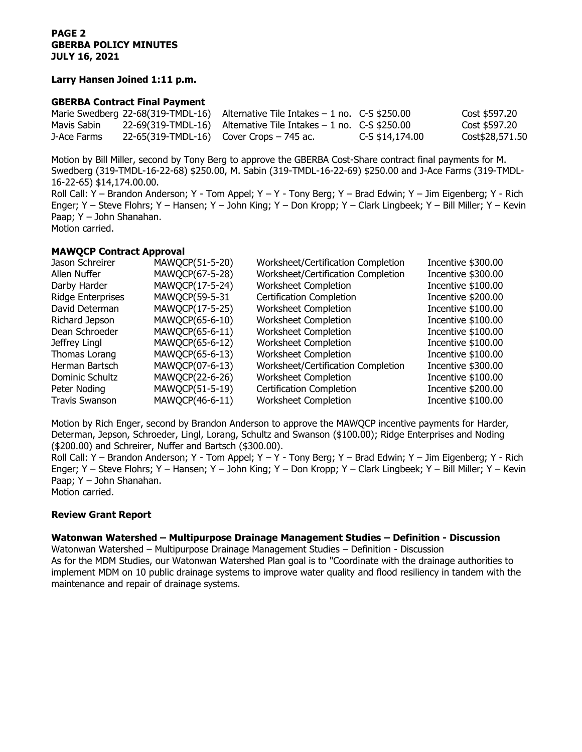#### **Larry Hansen Joined 1:11 p.m.**

#### **GBERBA Contract Final Payment**

|             | Marie Swedberg 22-68(319-TMDL-16) Alternative Tile Intakes $-1$ no. C-S \$250.00 |                 | Cost \$597.20   |
|-------------|----------------------------------------------------------------------------------|-----------------|-----------------|
| Mavis Sabin | $22-69(319-TMDL-16)$ Alternative Tile Intakes $-1$ no. C-S \$250.00              |                 | Cost \$597.20   |
| J-Ace Farms | $22-65(319-TMDL-16)$ Cover Crops – 745 ac.                                       | C-S \$14,174.00 | Cost\$28,571.50 |

Motion by Bill Miller, second by Tony Berg to approve the GBERBA Cost-Share contract final payments for M. Swedberg (319-TMDL-16-22-68) \$250.00, M. Sabin (319-TMDL-16-22-69) \$250.00 and J-Ace Farms (319-TMDL-16-22-65) \$14,174.00.00. Roll Call: Y – Brandon Anderson; Y - Tom Appel; Y – Y - Tony Berg; Y – Brad Edwin; Y – Jim Eigenberg; Y - Rich Enger; Y – Steve Flohrs; Y – Hansen; Y – John King; Y – Don Kropp; Y – Clark Lingbeek; Y – Bill Miller; Y – Kevin Paap; Y – John Shanahan. Motion carried.

## **MAWQCP Contract Approval**

| Jason Schreirer          | MAWQCP(51-5-20) | Worksheet/Certification Completion | Incentive \$300.00 |
|--------------------------|-----------------|------------------------------------|--------------------|
| Allen Nuffer             | MAWQCP(67-5-28) | Worksheet/Certification Completion | Incentive \$300.00 |
| Darby Harder             | MAWQCP(17-5-24) | Worksheet Completion               | Incentive \$100.00 |
| <b>Ridge Enterprises</b> | MAWQCP(59-5-31  | <b>Certification Completion</b>    | Incentive \$200.00 |
| David Determan           | MAWQCP(17-5-25) | Worksheet Completion               | Incentive \$100.00 |
| Richard Jepson           | MAWQCP(65-6-10) | Worksheet Completion               | Incentive \$100.00 |
| Dean Schroeder           | MAWQCP(65-6-11) | Worksheet Completion               | Incentive \$100.00 |
| Jeffrey Lingl            | MAWQCP(65-6-12) | Worksheet Completion               | Incentive \$100.00 |
| Thomas Lorang            | MAWQCP(65-6-13) | Worksheet Completion               | Incentive \$100.00 |
| Herman Bartsch           | MAWQCP(07-6-13) | Worksheet/Certification Completion | Incentive \$300.00 |
| Dominic Schultz          | MAWQCP(22-6-26) | Worksheet Completion               | Incentive \$100.00 |
| Peter Noding             | MAWQCP(51-5-19) | <b>Certification Completion</b>    | Incentive \$200.00 |
| <b>Travis Swanson</b>    | MAWQCP(46-6-11) | <b>Worksheet Completion</b>        | Incentive \$100.00 |

Motion by Rich Enger, second by Brandon Anderson to approve the MAWQCP incentive payments for Harder, Determan, Jepson, Schroeder, Lingl, Lorang, Schultz and Swanson (\$100.00); Ridge Enterprises and Noding (\$200.00) and Schreirer, Nuffer and Bartsch (\$300.00).

Roll Call: Y – Brandon Anderson; Y - Tom Appel; Y – Y - Tony Berg; Y – Brad Edwin; Y – Jim Eigenberg; Y - Rich Enger; Y – Steve Flohrs; Y – Hansen; Y – John King; Y – Don Kropp; Y – Clark Lingbeek; Y – Bill Miller; Y – Kevin Paap; Y – John Shanahan.

Motion carried.

#### **Review Grant Report**

#### **Watonwan Watershed – Multipurpose Drainage Management Studies – Definition - Discussion**

Watonwan Watershed – Multipurpose Drainage Management Studies – Definition - Discussion As for the MDM Studies, our Watonwan Watershed Plan goal is to "Coordinate with the drainage authorities to implement MDM on 10 public drainage systems to improve water quality and flood resiliency in tandem with the maintenance and repair of drainage systems.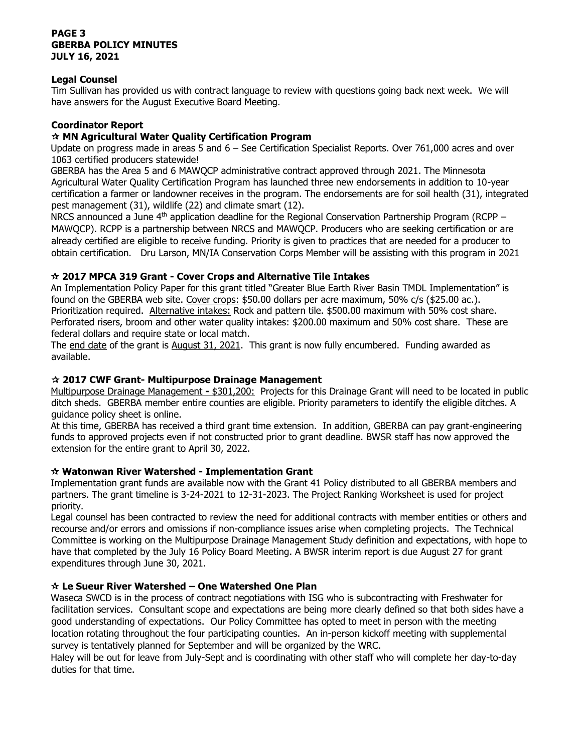#### **PAGE 3 GBERBA POLICY MINUTES JULY 16, 2021**

#### **Legal Counsel**

Tim Sullivan has provided us with contract language to review with questions going back next week. We will have answers for the August Executive Board Meeting.

#### **Coordinator Report**

#### **MN Agricultural Water Quality Certification Program**

Update on progress made in areas 5 and 6 – See Certification Specialist Reports. Over 761,000 acres and over 1063 certified producers statewide!

GBERBA has the Area 5 and 6 MAWQCP administrative contract approved through 2021. The Minnesota Agricultural Water Quality Certification Program has launched three new endorsements in addition to 10-year certification a farmer or landowner receives in the program. The endorsements are for soil health (31), integrated pest management (31), wildlife (22) and climate smart (12).

NRCS announced a June  $4<sup>th</sup>$  application deadline for the Regional Conservation Partnership Program (RCPP – MAWQCP). RCPP is a partnership between NRCS and MAWQCP. Producers who are seeking certification or are already certified are eligible to receive funding. Priority is given to practices that are needed for a producer to obtain certification. Dru Larson, MN/IA Conservation Corps Member will be assisting with this program in 2021

#### **2017 MPCA 319 Grant - Cover Crops and Alternative Tile Intakes**

An Implementation Policy Paper for this grant titled "Greater Blue Earth River Basin TMDL Implementation" is found on the GBERBA web site. Cover crops: \$50.00 dollars per acre maximum, 50% c/s (\$25.00 ac.). Prioritization required. Alternative intakes: Rock and pattern tile. \$500.00 maximum with 50% cost share. Perforated risers, broom and other water quality intakes: \$200.00 maximum and 50% cost share. These are federal dollars and require state or local match.

The end date of the grant is August 31, 2021. This grant is now fully encumbered. Funding awarded as available.

#### **2017 CWF Grant- Multipurpose Drainage Management**

Multipurpose Drainage Management **-** \$301,200: Projects for this Drainage Grant will need to be located in public ditch sheds. GBERBA member entire counties are eligible. Priority parameters to identify the eligible ditches. A guidance policy sheet is online.

At this time, GBERBA has received a third grant time extension. In addition, GBERBA can pay grant-engineering funds to approved projects even if not constructed prior to grant deadline. BWSR staff has now approved the extension for the entire grant to April 30, 2022.

#### **Watonwan River Watershed - Implementation Grant**

Implementation grant funds are available now with the Grant 41 Policy distributed to all GBERBA members and partners. The grant timeline is 3-24-2021 to 12-31-2023. The Project Ranking Worksheet is used for project priority.

Legal counsel has been contracted to review the need for additional contracts with member entities or others and recourse and/or errors and omissions if non-compliance issues arise when completing projects. The Technical Committee is working on the Multipurpose Drainage Management Study definition and expectations, with hope to have that completed by the July 16 Policy Board Meeting. A BWSR interim report is due August 27 for grant expenditures through June 30, 2021.

#### **Le Sueur River Watershed – One Watershed One Plan**

Waseca SWCD is in the process of contract negotiations with ISG who is subcontracting with Freshwater for facilitation services. Consultant scope and expectations are being more clearly defined so that both sides have a good understanding of expectations. Our Policy Committee has opted to meet in person with the meeting location rotating throughout the four participating counties. An in-person kickoff meeting with supplemental survey is tentatively planned for September and will be organized by the WRC.

Haley will be out for leave from July-Sept and is coordinating with other staff who will complete her day-to-day duties for that time.